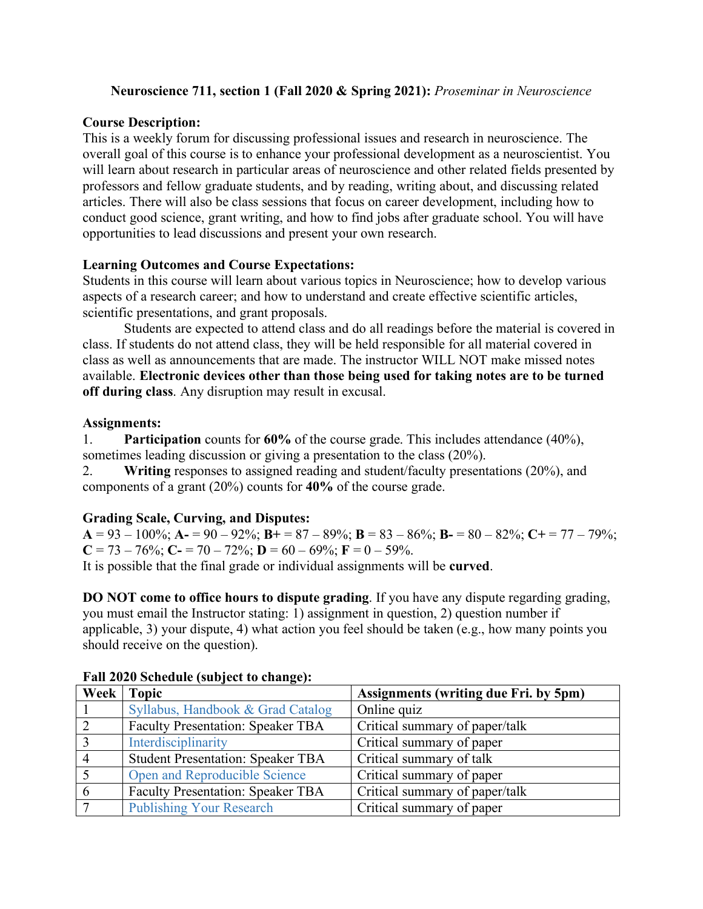## **Neuroscience 711, section 1 (Fall 2020 & Spring 2021):** *Proseminar in Neuroscience*

# **Course Description:**

This is a weekly forum for discussing professional issues and research in neuroscience. The overall goal of this course is to enhance your professional development as a neuroscientist. You will learn about research in particular areas of neuroscience and other related fields presented by professors and fellow graduate students, and by reading, writing about, and discussing related articles. There will also be class sessions that focus on career development, including how to conduct good science, grant writing, and how to find jobs after graduate school. You will have opportunities to lead discussions and present your own research.

## **Learning Outcomes and Course Expectations:**

Students in this course will learn about various topics in Neuroscience; how to develop various aspects of a research career; and how to understand and create effective scientific articles, scientific presentations, and grant proposals.

Students are expected to attend class and do all readings before the material is covered in class. If students do not attend class, they will be held responsible for all material covered in class as well as announcements that are made. The instructor WILL NOT make missed notes available. **Electronic devices other than those being used for taking notes are to be turned off during class**. Any disruption may result in excusal.

## **Assignments:**

1. **Participation** counts for **60%** of the course grade. This includes attendance (40%), sometimes leading discussion or giving a presentation to the class (20%).

2. **Writing** responses to assigned reading and student/faculty presentations (20%), and components of a grant (20%) counts for **40%** of the course grade.

# **Grading Scale, Curving, and Disputes:**

 $A = 93 - 100\%$ ;  $A = 90 - 92\%$ ;  $B = 87 - 89\%$ ;  $B = 83 - 86\%$ ;  $B = 80 - 82\%$ ;  $C = 77 - 79\%$ ;  $C = 73 - 76\%$ ;  $C = 70 - 72\%$ ;  $D = 60 - 69\%$ ;  $F = 0 - 59\%$ .

It is possible that the final grade or individual assignments will be **curved**.

**DO NOT come to office hours to dispute grading**. If you have any dispute regarding grading, you must email the Instructor stating: 1) assignment in question, 2) question number if applicable, 3) your dispute, 4) what action you feel should be taken (e.g., how many points you should receive on the question).

|                | Week Topic                               | Assignments (writing due Fri. by 5pm) |
|----------------|------------------------------------------|---------------------------------------|
|                | Syllabus, Handbook & Grad Catalog        | Online quiz                           |
| 2              | <b>Faculty Presentation: Speaker TBA</b> | Critical summary of paper/talk        |
| $\vert 3$      | Interdisciplinarity                      | Critical summary of paper             |
| $\overline{4}$ | <b>Student Presentation: Speaker TBA</b> | Critical summary of talk              |
|                | Open and Reproducible Science            | Critical summary of paper             |
| 6              | <b>Faculty Presentation: Speaker TBA</b> | Critical summary of paper/talk        |
|                | <b>Publishing Your Research</b>          | Critical summary of paper             |

### **Fall 2020 Schedule (subject to change):**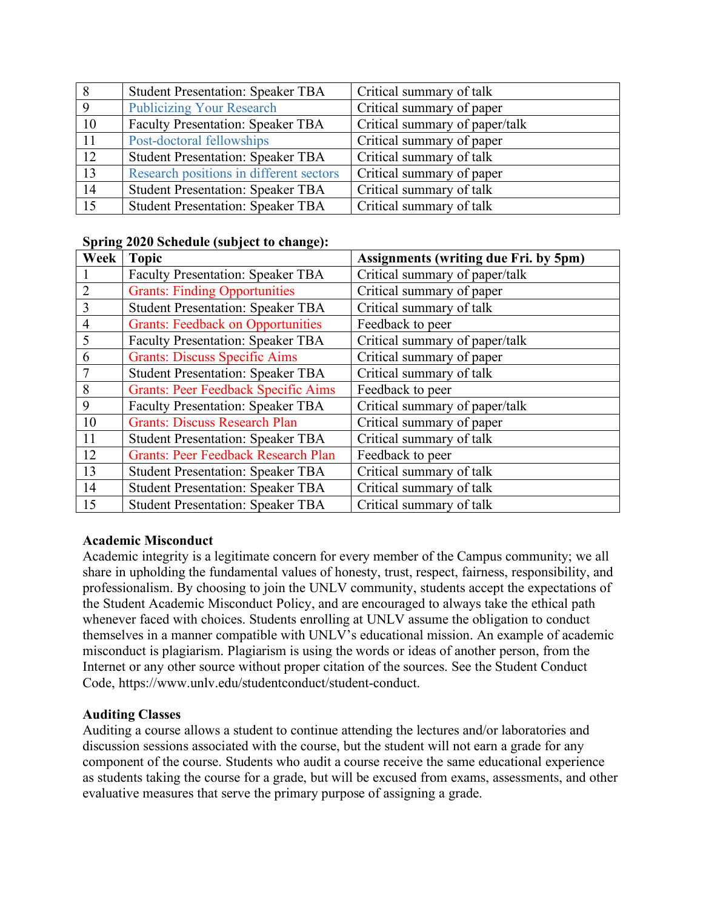| 8            | <b>Student Presentation: Speaker TBA</b> | Critical summary of talk       |
|--------------|------------------------------------------|--------------------------------|
| $\mathbf{Q}$ | <b>Publicizing Your Research</b>         | Critical summary of paper      |
| 10           | <b>Faculty Presentation: Speaker TBA</b> | Critical summary of paper/talk |
| 11           | Post-doctoral fellowships                | Critical summary of paper      |
| 12           | <b>Student Presentation: Speaker TBA</b> | Critical summary of talk       |
| 13           | Research positions in different sectors  | Critical summary of paper      |
| 14           | <b>Student Presentation: Speaker TBA</b> | Critical summary of talk       |
| 15           | <b>Student Presentation: Speaker TBA</b> | Critical summary of talk       |

#### **Spring 2020 Schedule (subject to change):**

| Week           | <b>Topic</b>                               | <b>Assignments (writing due Fri. by 5pm)</b> |
|----------------|--------------------------------------------|----------------------------------------------|
|                | <b>Faculty Presentation: Speaker TBA</b>   | Critical summary of paper/talk               |
| $\overline{2}$ | <b>Grants: Finding Opportunities</b>       | Critical summary of paper                    |
| $\overline{3}$ | <b>Student Presentation: Speaker TBA</b>   | Critical summary of talk                     |
| $\overline{4}$ | <b>Grants: Feedback on Opportunities</b>   | Feedback to peer                             |
| 5              | <b>Faculty Presentation: Speaker TBA</b>   | Critical summary of paper/talk               |
| 6              | <b>Grants: Discuss Specific Aims</b>       | Critical summary of paper                    |
| 7              | <b>Student Presentation: Speaker TBA</b>   | Critical summary of talk                     |
| 8              | <b>Grants: Peer Feedback Specific Aims</b> | Feedback to peer                             |
| 9              | <b>Faculty Presentation: Speaker TBA</b>   | Critical summary of paper/talk               |
| 10             | <b>Grants: Discuss Research Plan</b>       | Critical summary of paper                    |
| 11             | <b>Student Presentation: Speaker TBA</b>   | Critical summary of talk                     |
| 12             | <b>Grants: Peer Feedback Research Plan</b> | Feedback to peer                             |
| 13             | <b>Student Presentation: Speaker TBA</b>   | Critical summary of talk                     |
| 14             | <b>Student Presentation: Speaker TBA</b>   | Critical summary of talk                     |
| 15             | <b>Student Presentation: Speaker TBA</b>   | Critical summary of talk                     |

### **Academic Misconduct**

Academic integrity is a legitimate concern for every member of the Campus community; we all share in upholding the fundamental values of honesty, trust, respect, fairness, responsibility, and professionalism. By choosing to join the UNLV community, students accept the expectations of the Student Academic Misconduct Policy, and are encouraged to always take the ethical path whenever faced with choices. Students enrolling at UNLV assume the obligation to conduct themselves in a manner compatible with UNLV's educational mission. An example of academic misconduct is plagiarism. Plagiarism is using the words or ideas of another person, from the Internet or any other source without proper citation of the sources. See the Student Conduct Code, https://www.unlv.edu/studentconduct/student-conduct.

### **Auditing Classes**

Auditing a course allows a student to continue attending the lectures and/or laboratories and discussion sessions associated with the course, but the student will not earn a grade for any component of the course. Students who audit a course receive the same educational experience as students taking the course for a grade, but will be excused from exams, assessments, and other evaluative measures that serve the primary purpose of assigning a grade.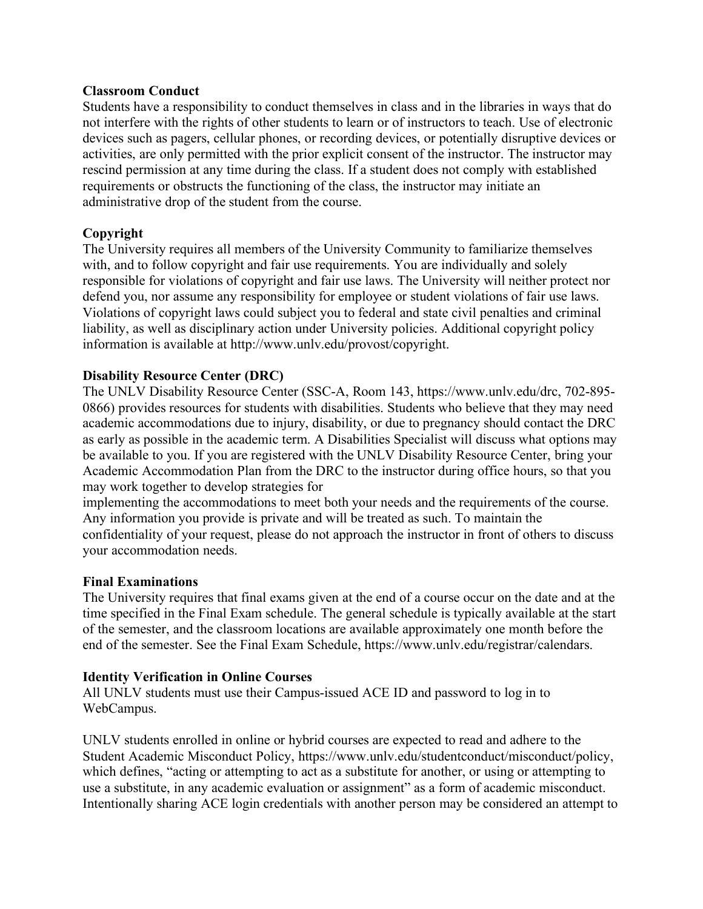#### **Classroom Conduct**

Students have a responsibility to conduct themselves in class and in the libraries in ways that do not interfere with the rights of other students to learn or of instructors to teach. Use of electronic devices such as pagers, cellular phones, or recording devices, or potentially disruptive devices or activities, are only permitted with the prior explicit consent of the instructor. The instructor may rescind permission at any time during the class. If a student does not comply with established requirements or obstructs the functioning of the class, the instructor may initiate an administrative drop of the student from the course.

### **Copyright**

The University requires all members of the University Community to familiarize themselves with, and to follow copyright and fair use requirements. You are individually and solely responsible for violations of copyright and fair use laws. The University will neither protect nor defend you, nor assume any responsibility for employee or student violations of fair use laws. Violations of copyright laws could subject you to federal and state civil penalties and criminal liability, as well as disciplinary action under University policies. Additional copyright policy information is available at http://www.unlv.edu/provost/copyright.

#### **Disability Resource Center (DRC)**

The UNLV Disability Resource Center (SSC-A, Room 143, https://www.unlv.edu/drc, 702-895- 0866) provides resources for students with disabilities. Students who believe that they may need academic accommodations due to injury, disability, or due to pregnancy should contact the DRC as early as possible in the academic term. A Disabilities Specialist will discuss what options may be available to you. If you are registered with the UNLV Disability Resource Center, bring your Academic Accommodation Plan from the DRC to the instructor during office hours, so that you may work together to develop strategies for

implementing the accommodations to meet both your needs and the requirements of the course. Any information you provide is private and will be treated as such. To maintain the confidentiality of your request, please do not approach the instructor in front of others to discuss your accommodation needs.

#### **Final Examinations**

The University requires that final exams given at the end of a course occur on the date and at the time specified in the Final Exam schedule. The general schedule is typically available at the start of the semester, and the classroom locations are available approximately one month before the end of the semester. See the Final Exam Schedule, https://www.unlv.edu/registrar/calendars.

#### **Identity Verification in Online Courses**

All UNLV students must use their Campus-issued ACE ID and password to log in to WebCampus.

UNLV students enrolled in online or hybrid courses are expected to read and adhere to the Student Academic Misconduct Policy, https://www.unlv.edu/studentconduct/misconduct/policy, which defines, "acting or attempting to act as a substitute for another, or using or attempting to use a substitute, in any academic evaluation or assignment" as a form of academic misconduct. Intentionally sharing ACE login credentials with another person may be considered an attempt to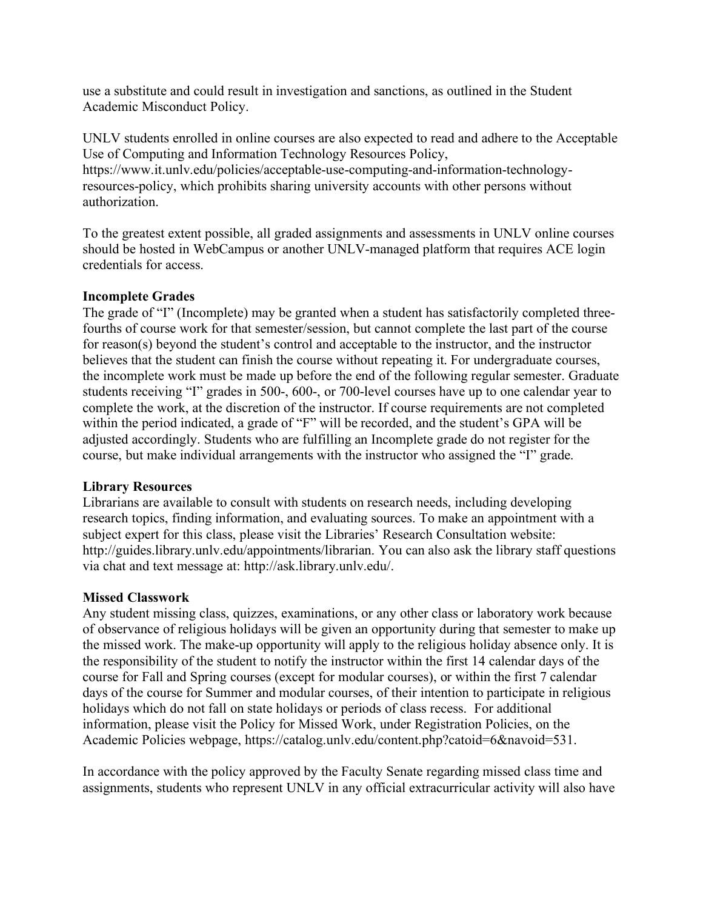use a substitute and could result in investigation and sanctions, as outlined in the Student Academic Misconduct Policy.

UNLV students enrolled in online courses are also expected to read and adhere to the Acceptable Use of Computing and Information Technology Resources Policy,

https://www.it.unlv.edu/policies/acceptable-use-computing-and-information-technologyresources-policy, which prohibits sharing university accounts with other persons without authorization.

To the greatest extent possible, all graded assignments and assessments in UNLV online courses should be hosted in WebCampus or another UNLV-managed platform that requires ACE login credentials for access.

### **Incomplete Grades**

The grade of "I" (Incomplete) may be granted when a student has satisfactorily completed threefourths of course work for that semester/session, but cannot complete the last part of the course for reason(s) beyond the student's control and acceptable to the instructor, and the instructor believes that the student can finish the course without repeating it. For undergraduate courses, the incomplete work must be made up before the end of the following regular semester. Graduate students receiving "I" grades in 500-, 600-, or 700-level courses have up to one calendar year to complete the work, at the discretion of the instructor. If course requirements are not completed within the period indicated, a grade of "F" will be recorded, and the student's GPA will be adjusted accordingly. Students who are fulfilling an Incomplete grade do not register for the course, but make individual arrangements with the instructor who assigned the "I" grade.

#### **Library Resources**

Librarians are available to consult with students on research needs, including developing research topics, finding information, and evaluating sources. To make an appointment with a subject expert for this class, please visit the Libraries' Research Consultation website: http://guides.library.unly.edu/appointments/librarian. You can also ask the library staff questions via chat and text message at: http://ask.library.unlv.edu/.

#### **Missed Classwork**

Any student missing class, quizzes, examinations, or any other class or laboratory work because of observance of religious holidays will be given an opportunity during that semester to make up the missed work. The make-up opportunity will apply to the religious holiday absence only. It is the responsibility of the student to notify the instructor within the first 14 calendar days of the course for Fall and Spring courses (except for modular courses), or within the first 7 calendar days of the course for Summer and modular courses, of their intention to participate in religious holidays which do not fall on state holidays or periods of class recess. For additional information, please visit the Policy for Missed Work, under Registration Policies, on the Academic Policies webpage, https://catalog.unlv.edu/content.php?catoid=6&navoid=531.

In accordance with the policy approved by the Faculty Senate regarding missed class time and assignments, students who represent UNLV in any official extracurricular activity will also have